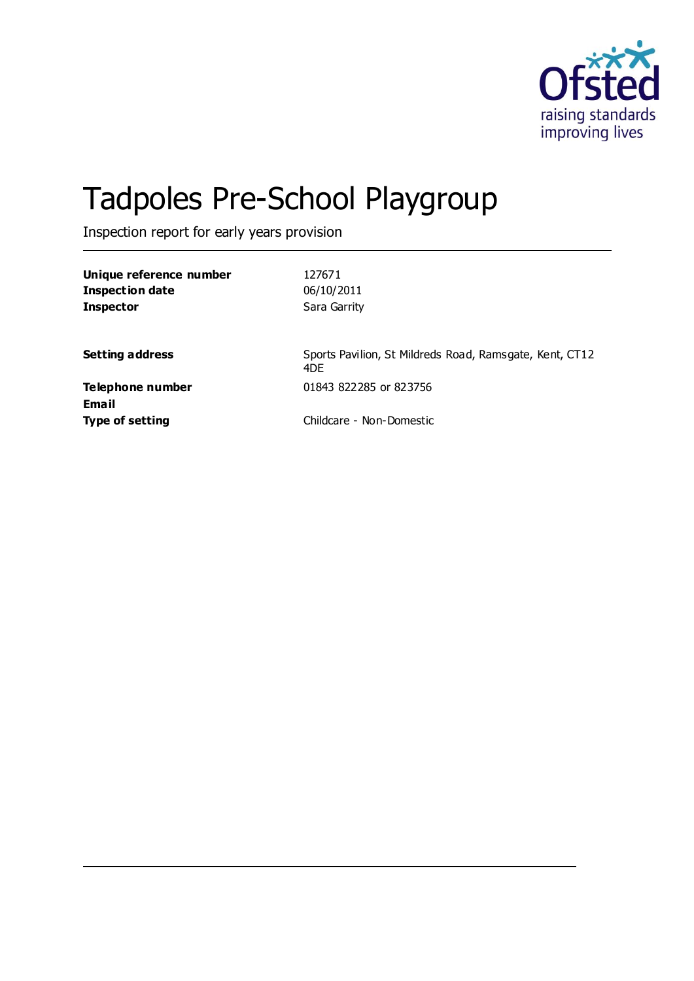

# Tadpoles Pre-School Playgroup

Inspection report for early years provision

| Unique reference number<br><b>Inspection date</b><br><b>Inspector</b> | 127671<br>06/10/2011<br>Sara Garrity                           |
|-----------------------------------------------------------------------|----------------------------------------------------------------|
| <b>Setting address</b>                                                | Sports Pavilion, St Mildreds Road, Ramsgate, Kent, CT12<br>4DF |
| Telephone number<br>Email                                             | 01843 822285 or 823756                                         |
| <b>Type of setting</b>                                                | Childcare - Non-Domestic                                       |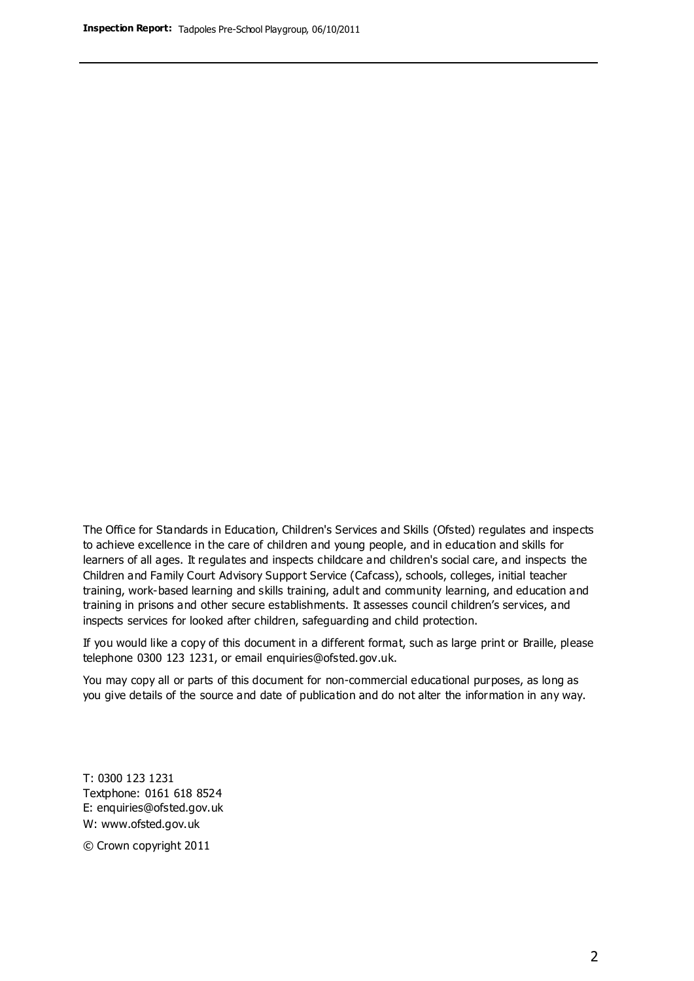The Office for Standards in Education, Children's Services and Skills (Ofsted) regulates and inspects to achieve excellence in the care of children and young people, and in education and skills for learners of all ages. It regulates and inspects childcare and children's social care, and inspects the Children and Family Court Advisory Support Service (Cafcass), schools, colleges, initial teacher training, work-based learning and skills training, adult and community learning, and education and training in prisons and other secure establishments. It assesses council children's services, and inspects services for looked after children, safeguarding and child protection.

If you would like a copy of this document in a different format, such as large print or Braille, please telephone 0300 123 1231, or email enquiries@ofsted.gov.uk.

You may copy all or parts of this document for non-commercial educational purposes, as long as you give details of the source and date of publication and do not alter the information in any way.

T: 0300 123 1231 Textphone: 0161 618 8524 E: enquiries@ofsted.gov.uk W: [www.ofsted.gov.uk](http://www.ofsted.gov.uk/)

© Crown copyright 2011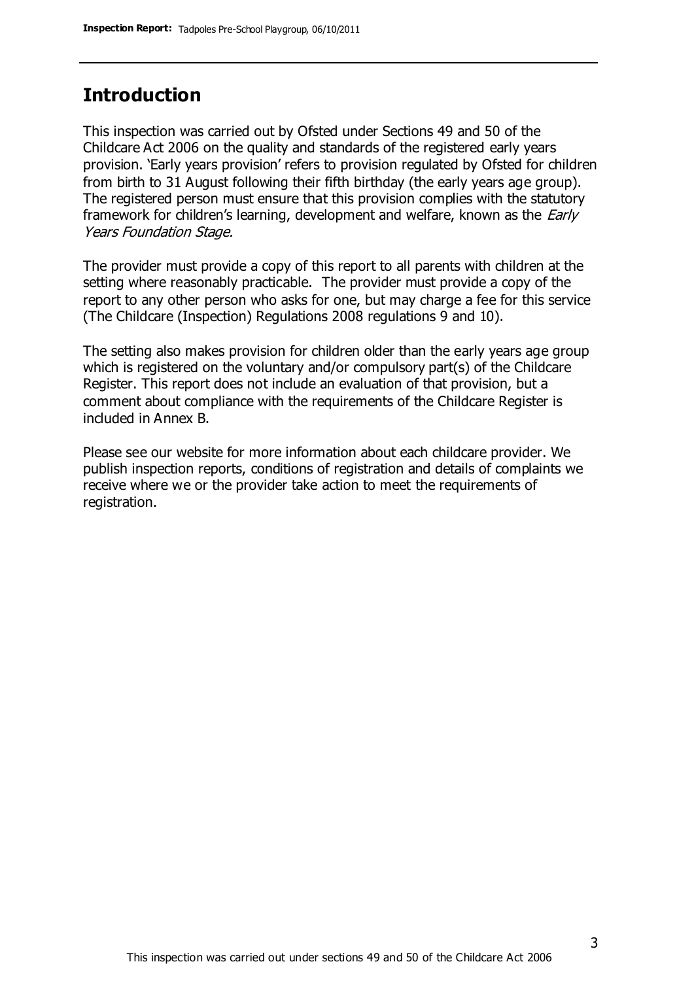## **Introduction**

This inspection was carried out by Ofsted under Sections 49 and 50 of the Childcare Act 2006 on the quality and standards of the registered early years provision. 'Early years provision' refers to provision regulated by Ofsted for children from birth to 31 August following their fifth birthday (the early years age group). The registered person must ensure that this provision complies with the statutory framework for children's learning, development and welfare, known as the *Early* Years Foundation Stage.

The provider must provide a copy of this report to all parents with children at the setting where reasonably practicable. The provider must provide a copy of the report to any other person who asks for one, but may charge a fee for this service (The Childcare (Inspection) Regulations 2008 regulations 9 and 10).

The setting also makes provision for children older than the early years age group which is registered on the voluntary and/or compulsory part(s) of the Childcare Register. This report does not include an evaluation of that provision, but a comment about compliance with the requirements of the Childcare Register is included in Annex B.

Please see our website for more information about each childcare provider. We publish inspection reports, conditions of registration and details of complaints we receive where we or the provider take action to meet the requirements of registration.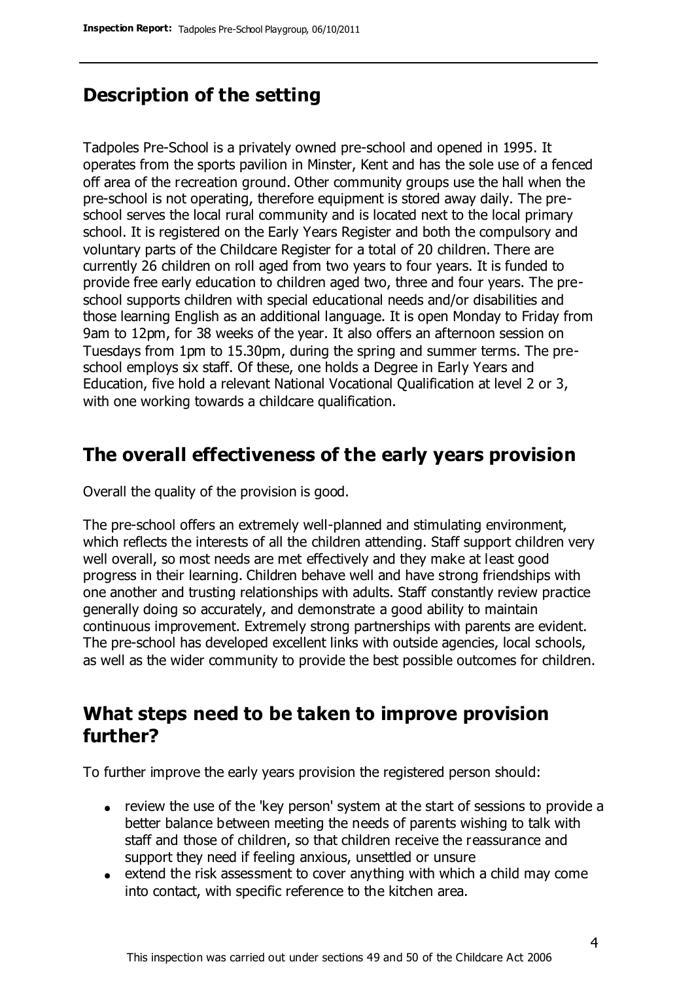# **Description of the setting**

Tadpoles Pre-School is a privately owned pre-school and opened in 1995. It operates from the sports pavilion in Minster, Kent and has the sole use of a fenced off area of the recreation ground. Other community groups use the hall when the pre-school is not operating, therefore equipment is stored away daily. The preschool serves the local rural community and is located next to the local primary school. It is registered on the Early Years Register and both the compulsory and voluntary parts of the Childcare Register for a total of 20 children. There are currently 26 children on roll aged from two years to four years. It is funded to provide free early education to children aged two, three and four years. The preschool supports children with special educational needs and/or disabilities and those learning English as an additional language. It is open Monday to Friday from 9am to 12pm, for 38 weeks of the year. It also offers an afternoon session on Tuesdays from 1pm to 15.30pm, during the spring and summer terms. The preschool employs six staff. Of these, one holds a Degree in Early Years and Education, five hold a relevant National Vocational Qualification at level 2 or 3, with one working towards a childcare qualification.

## **The overall effectiveness of the early years provision**

Overall the quality of the provision is good.

The pre-school offers an extremely well-planned and stimulating environment, which reflects the interests of all the children attending. Staff support children very well overall, so most needs are met effectively and they make at least good progress in their learning. Children behave well and have strong friendships with one another and trusting relationships with adults. Staff constantly review practice generally doing so accurately, and demonstrate a good ability to maintain continuous improvement. Extremely strong partnerships with parents are evident. The pre-school has developed excellent links with outside agencies, local schools, as well as the wider community to provide the best possible outcomes for children.

# **What steps need to be taken to improve provision further?**

To further improve the early years provision the registered person should:

- review the use of the 'key person' system at the start of sessions to provide a better balance between meeting the needs of parents wishing to talk with staff and those of children, so that children receive the reassurance and support they need if feeling anxious, unsettled or unsure
- $\bullet$  extend the risk assessment to cover anything with which a child may come into contact, with specific reference to the kitchen area.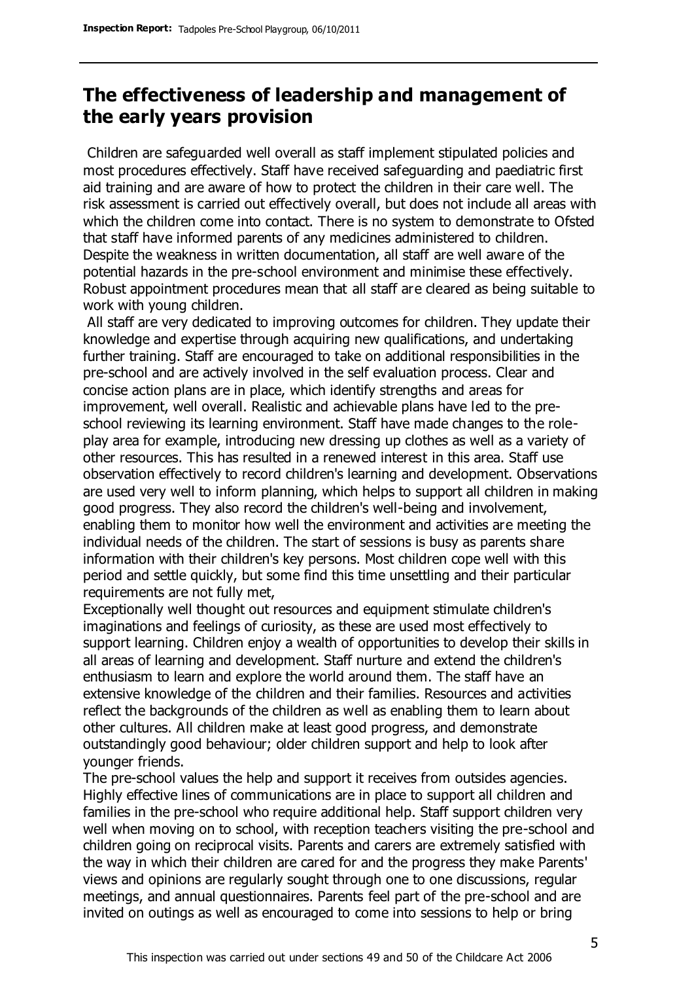# **The effectiveness of leadership and management of the early years provision**

Children are safeguarded well overall as staff implement stipulated policies and most procedures effectively. Staff have received safeguarding and paediatric first aid training and are aware of how to protect the children in their care well. The risk assessment is carried out effectively overall, but does not include all areas with which the children come into contact. There is no system to demonstrate to Ofsted that staff have informed parents of any medicines administered to children. Despite the weakness in written documentation, all staff are well aware of the potential hazards in the pre-school environment and minimise these effectively. Robust appointment procedures mean that all staff are cleared as being suitable to work with young children.

All staff are very dedicated to improving outcomes for children. They update their knowledge and expertise through acquiring new qualifications, and undertaking further training. Staff are encouraged to take on additional responsibilities in the pre-school and are actively involved in the self evaluation process. Clear and concise action plans are in place, which identify strengths and areas for improvement, well overall. Realistic and achievable plans have led to the preschool reviewing its learning environment. Staff have made changes to the roleplay area for example, introducing new dressing up clothes as well as a variety of other resources. This has resulted in a renewed interest in this area. Staff use observation effectively to record children's learning and development. Observations are used very well to inform planning, which helps to support all children in making good progress. They also record the children's well-being and involvement, enabling them to monitor how well the environment and activities are meeting the individual needs of the children. The start of sessions is busy as parents share information with their children's key persons. Most children cope well with this period and settle quickly, but some find this time unsettling and their particular requirements are not fully met,

Exceptionally well thought out resources and equipment stimulate children's imaginations and feelings of curiosity, as these are used most effectively to support learning. Children enjoy a wealth of opportunities to develop their skills in all areas of learning and development. Staff nurture and extend the children's enthusiasm to learn and explore the world around them. The staff have an extensive knowledge of the children and their families. Resources and activities reflect the backgrounds of the children as well as enabling them to learn about other cultures. All children make at least good progress, and demonstrate outstandingly good behaviour; older children support and help to look after younger friends.

The pre-school values the help and support it receives from outsides agencies. Highly effective lines of communications are in place to support all children and families in the pre-school who require additional help. Staff support children very well when moving on to school, with reception teachers visiting the pre-school and children going on reciprocal visits. Parents and carers are extremely satisfied with the way in which their children are cared for and the progress they make Parents' views and opinions are regularly sought through one to one discussions, regular meetings, and annual questionnaires. Parents feel part of the pre-school and are invited on outings as well as encouraged to come into sessions to help or bring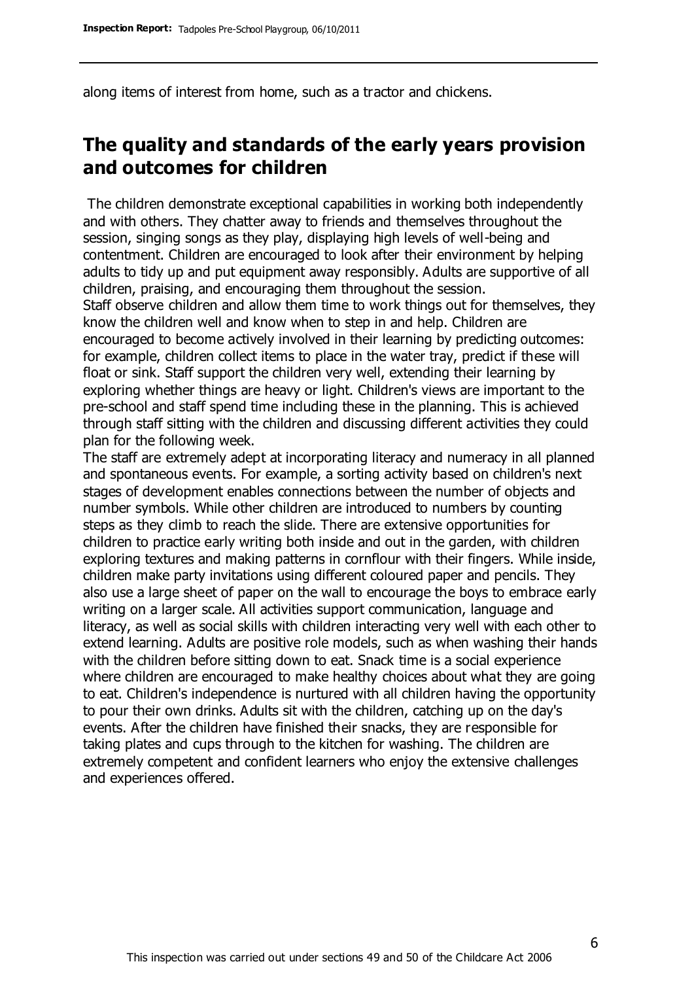along items of interest from home, such as a tractor and chickens.

# **The quality and standards of the early years provision and outcomes for children**

The children demonstrate exceptional capabilities in working both independently and with others. They chatter away to friends and themselves throughout the session, singing songs as they play, displaying high levels of well-being and contentment. Children are encouraged to look after their environment by helping adults to tidy up and put equipment away responsibly. Adults are supportive of all children, praising, and encouraging them throughout the session.

Staff observe children and allow them time to work things out for themselves, they know the children well and know when to step in and help. Children are encouraged to become actively involved in their learning by predicting outcomes: for example, children collect items to place in the water tray, predict if these will float or sink. Staff support the children very well, extending their learning by exploring whether things are heavy or light. Children's views are important to the pre-school and staff spend time including these in the planning. This is achieved through staff sitting with the children and discussing different activities they could plan for the following week.

The staff are extremely adept at incorporating literacy and numeracy in all planned and spontaneous events. For example, a sorting activity based on children's next stages of development enables connections between the number of objects and number symbols. While other children are introduced to numbers by counting steps as they climb to reach the slide. There are extensive opportunities for children to practice early writing both inside and out in the garden, with children exploring textures and making patterns in cornflour with their fingers. While inside, children make party invitations using different coloured paper and pencils. They also use a large sheet of paper on the wall to encourage the boys to embrace early writing on a larger scale. All activities support communication, language and literacy, as well as social skills with children interacting very well with each other to extend learning. Adults are positive role models, such as when washing their hands with the children before sitting down to eat. Snack time is a social experience where children are encouraged to make healthy choices about what they are going to eat. Children's independence is nurtured with all children having the opportunity to pour their own drinks. Adults sit with the children, catching up on the day's events. After the children have finished their snacks, they are responsible for taking plates and cups through to the kitchen for washing. The children are extremely competent and confident learners who enjoy the extensive challenges and experiences offered.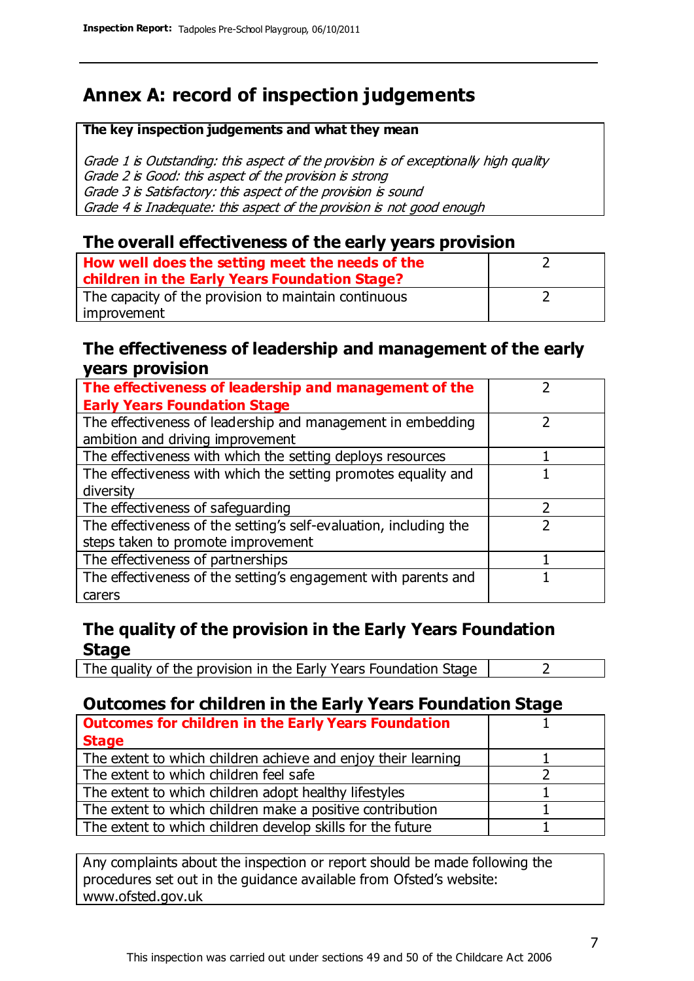# **Annex A: record of inspection judgements**

#### **The key inspection judgements and what they mean**

Grade 1 is Outstanding: this aspect of the provision is of exceptionally high quality Grade 2 is Good: this aspect of the provision is strong Grade 3 is Satisfactory: this aspect of the provision is sound Grade 4 is Inadequate: this aspect of the provision is not good enough

### **The overall effectiveness of the early years provision**

| How well does the setting meet the needs of the<br>children in the Early Years Foundation Stage? |  |
|--------------------------------------------------------------------------------------------------|--|
| The capacity of the provision to maintain continuous                                             |  |
| improvement                                                                                      |  |

#### **The effectiveness of leadership and management of the early years provision**

| The effectiveness of leadership and management of the             |  |
|-------------------------------------------------------------------|--|
| <b>Early Years Foundation Stage</b>                               |  |
| The effectiveness of leadership and management in embedding       |  |
| ambition and driving improvement                                  |  |
| The effectiveness with which the setting deploys resources        |  |
| The effectiveness with which the setting promotes equality and    |  |
| diversity                                                         |  |
| The effectiveness of safeguarding                                 |  |
| The effectiveness of the setting's self-evaluation, including the |  |
| steps taken to promote improvement                                |  |
| The effectiveness of partnerships                                 |  |
| The effectiveness of the setting's engagement with parents and    |  |
| carers                                                            |  |

## **The quality of the provision in the Early Years Foundation Stage**

The quality of the provision in the Early Years Foundation Stage  $\vert$  2

## **Outcomes for children in the Early Years Foundation Stage**

| <b>Outcomes for children in the Early Years Foundation</b>    |  |
|---------------------------------------------------------------|--|
| <b>Stage</b>                                                  |  |
| The extent to which children achieve and enjoy their learning |  |
| The extent to which children feel safe                        |  |
| The extent to which children adopt healthy lifestyles         |  |
| The extent to which children make a positive contribution     |  |
| The extent to which children develop skills for the future    |  |

Any complaints about the inspection or report should be made following the procedures set out in the guidance available from Ofsted's website: www.ofsted.gov.uk